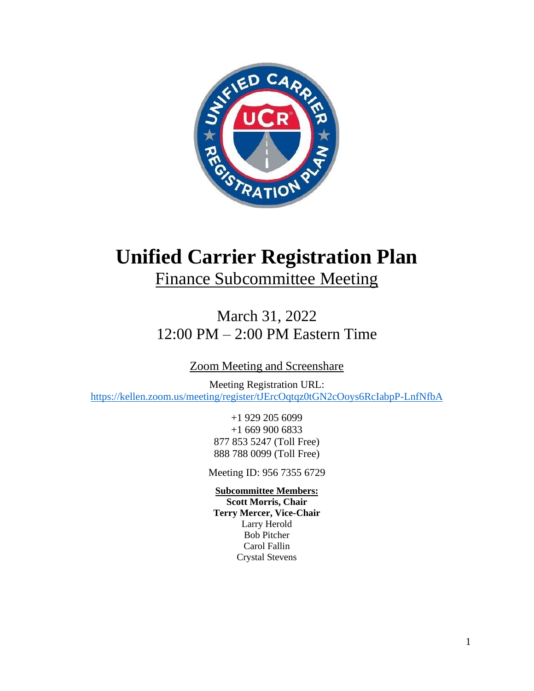

# **Unified Carrier Registration Plan**

Finance Subcommittee Meeting

March 31, 2022 12:00 PM – 2:00 PM Eastern Time

Zoom Meeting and Screenshare

Meeting Registration URL: <https://kellen.zoom.us/meeting/register/tJErcOqtqz0tGN2cOoys6RcIabpP-LnfNfbA>

> +1 929 205 6099 +1 669 900 6833 877 853 5247 (Toll Free) 888 788 0099 (Toll Free)

Meeting ID: 956 7355 6729

## **Subcommittee Members:**

**Scott Morris, Chair Terry Mercer, Vice-Chair** Larry Herold Bob Pitcher Carol Fallin Crystal Stevens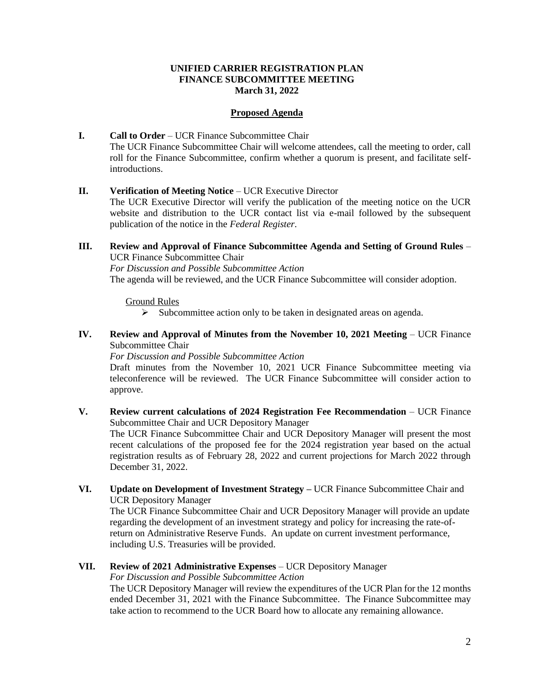#### **UNIFIED CARRIER REGISTRATION PLAN FINANCE SUBCOMMITTEE MEETING March 31, 2022**

#### **Proposed Agenda**

**I. Call to Order** – UCR Finance Subcommittee Chair The UCR Finance Subcommittee Chair will welcome attendees, call the meeting to order, call roll for the Finance Subcommittee, confirm whether a quorum is present, and facilitate selfintroductions.

### **II. Verification of Meeting Notice** – UCR Executive Director

The UCR Executive Director will verify the publication of the meeting notice on the UCR website and distribution to the UCR contact list via e-mail followed by the subsequent publication of the notice in the *Federal Register*.

**III. Review and Approval of Finance Subcommittee Agenda and Setting of Ground Rules** – UCR Finance Subcommittee Chair

*For Discussion and Possible Subcommittee Action*

The agenda will be reviewed, and the UCR Finance Subcommittee will consider adoption.

#### Ground Rules

- ➢ Subcommittee action only to be taken in designated areas on agenda.
- **IV. Review and Approval of Minutes from the November 10, 2021 Meeting UCR Finance** Subcommittee Chair

#### *For Discussion and Possible Subcommittee Action*

Draft minutes from the November 10, 2021 UCR Finance Subcommittee meeting via teleconference will be reviewed. The UCR Finance Subcommittee will consider action to approve.

**V. Review current calculations of 2024 Registration Fee Recommendation** – UCR Finance Subcommittee Chair and UCR Depository Manager

The UCR Finance Subcommittee Chair and UCR Depository Manager will present the most recent calculations of the proposed fee for the 2024 registration year based on the actual registration results as of February 28, 2022 and current projections for March 2022 through December 31, 2022.

**VI. Update on Development of Investment Strategy –** UCR Finance Subcommittee Chair and UCR Depository Manager

The UCR Finance Subcommittee Chair and UCR Depository Manager will provide an update regarding the development of an investment strategy and policy for increasing the rate-ofreturn on Administrative Reserve Funds. An update on current investment performance, including U.S. Treasuries will be provided.

**VII. Review of 2021 Administrative Expenses** – UCR Depository Manager

*For Discussion and Possible Subcommittee Action*

The UCR Depository Manager will review the expenditures of the UCR Plan for the 12 months ended December 31, 2021 with the Finance Subcommittee. The Finance Subcommittee may take action to recommend to the UCR Board how to allocate any remaining allowance.